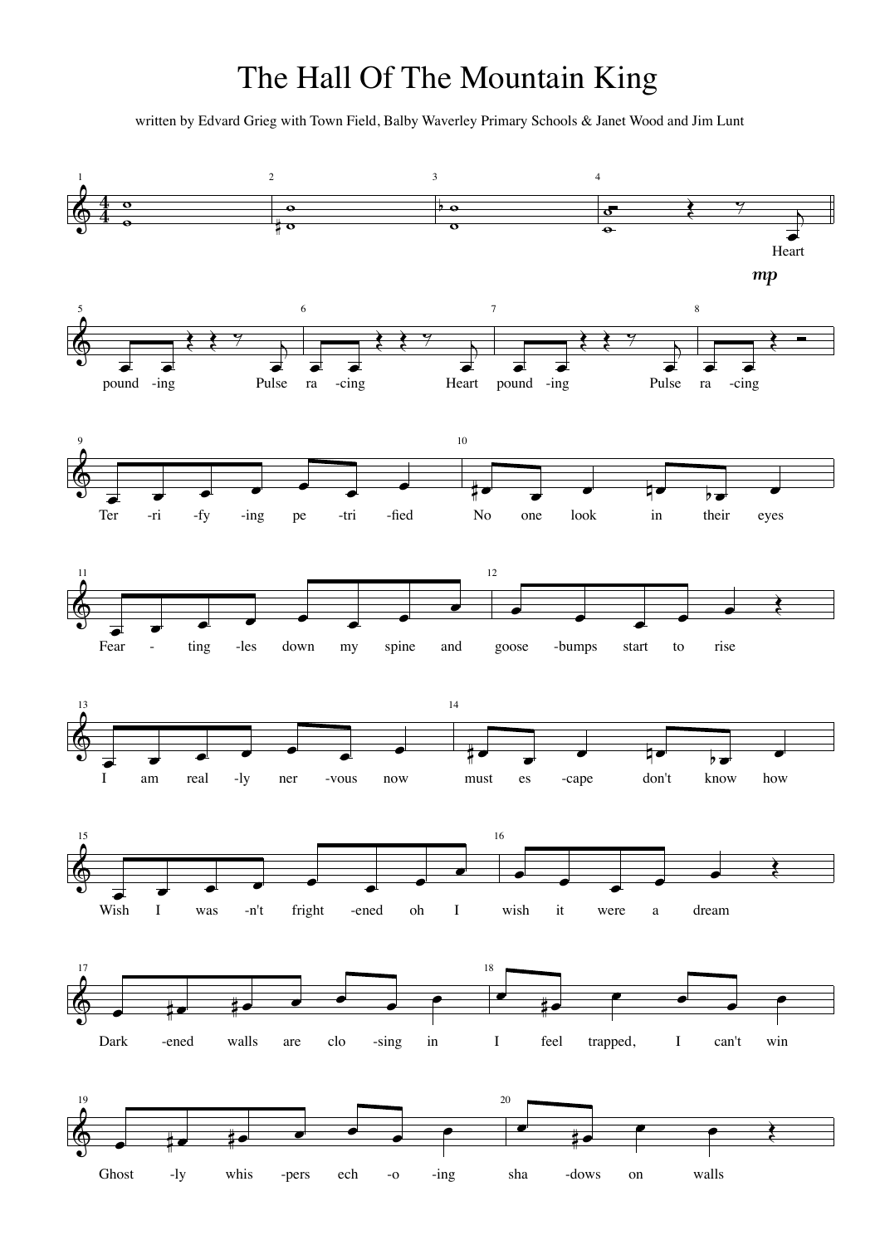## The Hall Of The Mountain King

written by Edvard Grieg with Town Field, Balby Waverley Primary Schools & Janet Wood and Jim Lunt

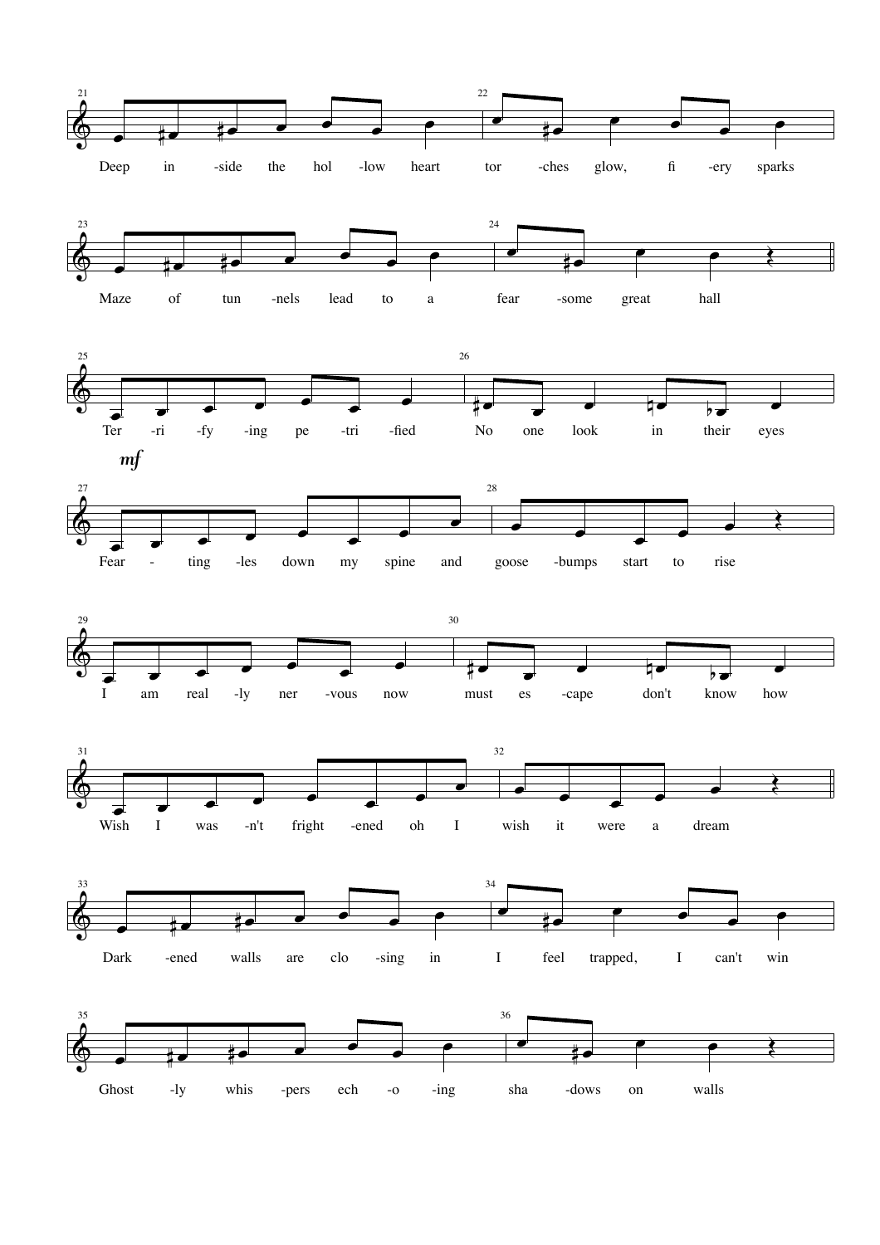













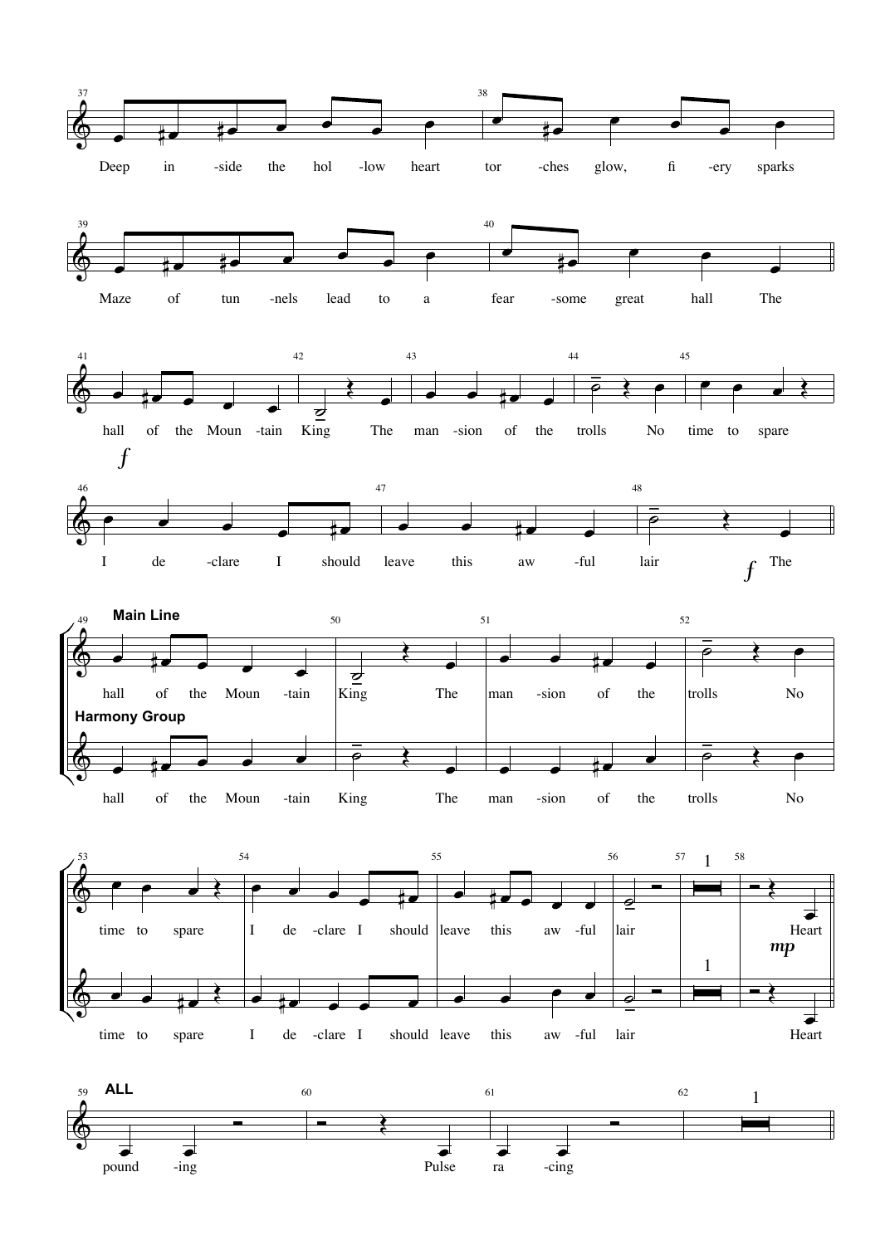











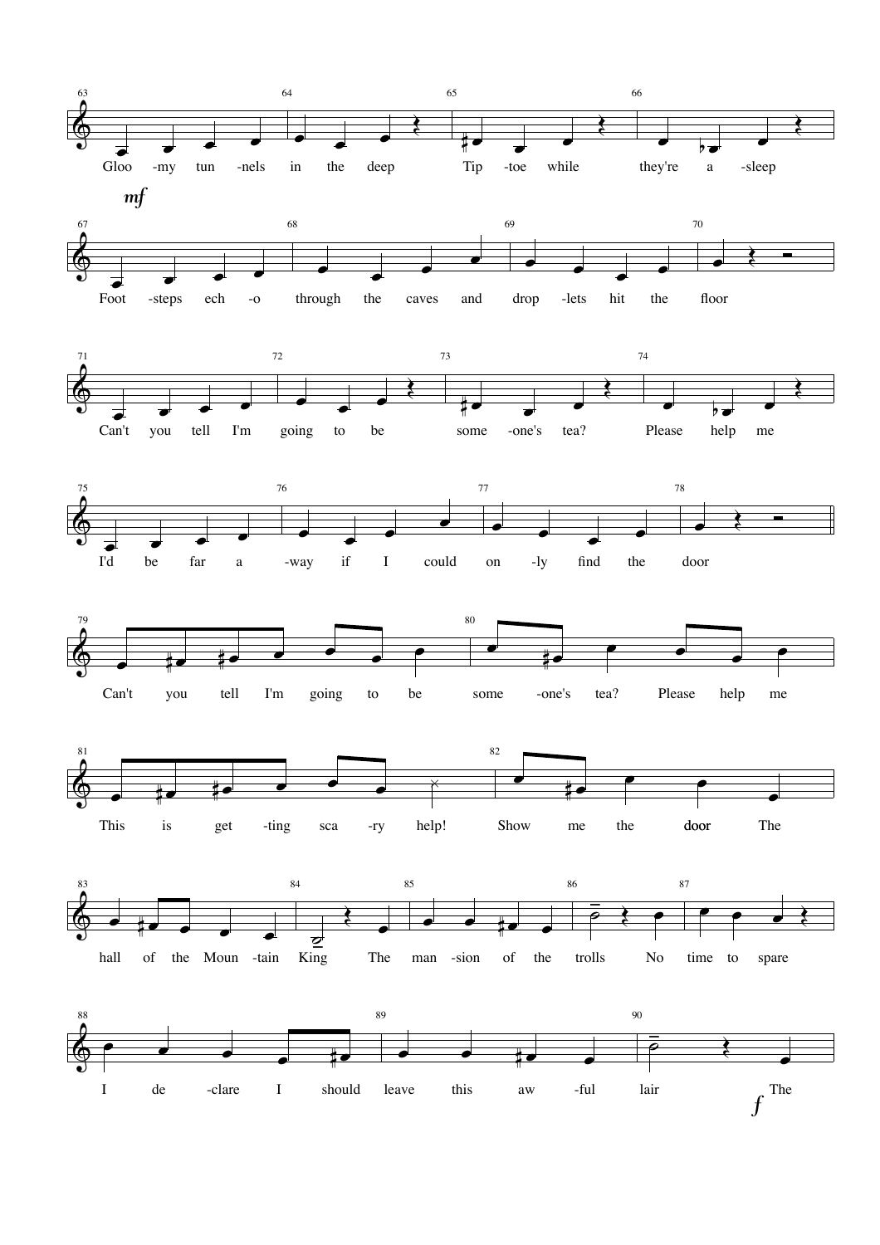